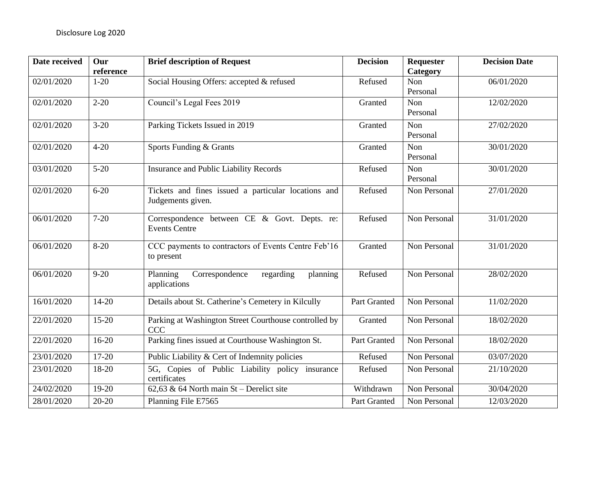| Date received | Our<br>reference | <b>Brief description of Request</b>                                      | <b>Decision</b> | <b>Requester</b><br>Category | <b>Decision Date</b> |
|---------------|------------------|--------------------------------------------------------------------------|-----------------|------------------------------|----------------------|
| 02/01/2020    | $1-20$           | Social Housing Offers: accepted & refused                                | Refused         | Non<br>Personal              | 06/01/2020           |
| 02/01/2020    | $2 - 20$         | Council's Legal Fees 2019                                                | Granted         | Non<br>Personal              | 12/02/2020           |
| 02/01/2020    | $3-20$           | Parking Tickets Issued in 2019                                           | Granted         | Non<br>Personal              | 27/02/2020           |
| 02/01/2020    | $4 - 20$         | Sports Funding & Grants                                                  | Granted         | Non<br>Personal              | 30/01/2020           |
| 03/01/2020    | $5 - 20$         | Insurance and Public Liability Records                                   | Refused         | Non<br>Personal              | 30/01/2020           |
| 02/01/2020    | $6 - 20$         | Tickets and fines issued a particular locations and<br>Judgements given. | Refused         | Non Personal                 | 27/01/2020           |
| 06/01/2020    | $7 - 20$         | Correspondence between CE & Govt. Depts. re:<br><b>Events Centre</b>     | Refused         | Non Personal                 | 31/01/2020           |
| 06/01/2020    | $8 - 20$         | CCC payments to contractors of Events Centre Feb'16<br>to present        | Granted         | Non Personal                 | 31/01/2020           |
| 06/01/2020    | $9 - 20$         | Correspondence<br>Planning<br>regarding<br>planning<br>applications      | Refused         | Non Personal                 | 28/02/2020           |
| 16/01/2020    | $14 - 20$        | Details about St. Catherine's Cemetery in Kilcully                       | Part Granted    | Non Personal                 | 11/02/2020           |
| 22/01/2020    | $15 - 20$        | Parking at Washington Street Courthouse controlled by<br><b>CCC</b>      | Granted         | Non Personal                 | 18/02/2020           |
| 22/01/2020    | $16-20$          | Parking fines issued at Courthouse Washington St.                        | Part Granted    | Non Personal                 | 18/02/2020           |
| 23/01/2020    | $17-20$          | Public Liability & Cert of Indemnity policies                            | Refused         | Non Personal                 | 03/07/2020           |
| 23/01/2020    | 18-20            | 5G, Copies of Public Liability policy insurance<br>certificates          | Refused         | Non Personal                 | 21/10/2020           |
| 24/02/2020    | $19-20$          | 62,63 & 64 North main $St$ – Derelict site                               | Withdrawn       | Non Personal                 | 30/04/2020           |
| 28/01/2020    | $20 - 20$        | Planning File E7565                                                      | Part Granted    | Non Personal                 | 12/03/2020           |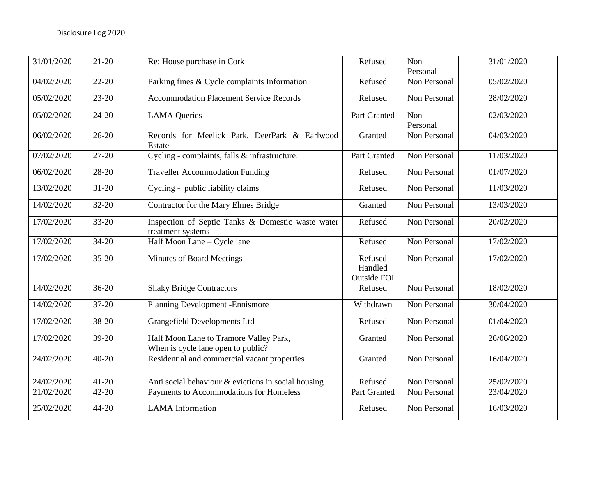| 31/01/2020 | $21 - 20$ | Re: House purchase in Cork                                                   | Refused                           | Non<br>Personal | 31/01/2020 |
|------------|-----------|------------------------------------------------------------------------------|-----------------------------------|-----------------|------------|
| 04/02/2020 | $22 - 20$ | Parking fines & Cycle complaints Information                                 | Refused                           | Non Personal    | 05/02/2020 |
| 05/02/2020 | $23 - 20$ | <b>Accommodation Placement Service Records</b>                               | Refused                           | Non Personal    | 28/02/2020 |
| 05/02/2020 | 24-20     | <b>LAMA</b> Queries                                                          | Part Granted                      | Non<br>Personal | 02/03/2020 |
| 06/02/2020 | $26 - 20$ | Records for Meelick Park, DeerPark & Earlwood<br>Estate                      | Granted                           | Non Personal    | 04/03/2020 |
| 07/02/2020 | $27 - 20$ | Cycling - complaints, falls & infrastructure.                                | <b>Part Granted</b>               | Non Personal    | 11/03/2020 |
| 06/02/2020 | 28-20     | <b>Traveller Accommodation Funding</b>                                       | Refused                           | Non Personal    | 01/07/2020 |
| 13/02/2020 | $31 - 20$ | Cycling - public liability claims                                            | Refused                           | Non Personal    | 11/03/2020 |
| 14/02/2020 | $32 - 20$ | Contractor for the Mary Elmes Bridge                                         | Granted                           | Non Personal    | 13/03/2020 |
| 17/02/2020 | $33 - 20$ | Inspection of Septic Tanks & Domestic waste water<br>treatment systems       | Refused                           | Non Personal    | 20/02/2020 |
| 17/02/2020 | $34 - 20$ | Half Moon Lane - Cycle lane                                                  | Refused                           | Non Personal    | 17/02/2020 |
| 17/02/2020 | $35 - 20$ | <b>Minutes of Board Meetings</b>                                             | Refused<br>Handled<br>Outside FOI | Non Personal    | 17/02/2020 |
| 14/02/2020 | $36-20$   | <b>Shaky Bridge Contractors</b>                                              | Refused                           | Non Personal    | 18/02/2020 |
| 14/02/2020 | $37 - 20$ | Planning Development - Ennismore                                             | Withdrawn                         | Non Personal    | 30/04/2020 |
| 17/02/2020 | 38-20     | <b>Grangefield Developments Ltd</b>                                          | Refused                           | Non Personal    | 01/04/2020 |
| 17/02/2020 | 39-20     | Half Moon Lane to Tramore Valley Park,<br>When is cycle lane open to public? | Granted                           | Non Personal    | 26/06/2020 |
| 24/02/2020 | $40 - 20$ | Residential and commercial vacant properties                                 | Granted                           | Non Personal    | 16/04/2020 |
| 24/02/2020 | $41 - 20$ | Anti social behaviour & evictions in social housing                          | Refused                           | Non Personal    | 25/02/2020 |
| 21/02/2020 | $42 - 20$ | Payments to Accommodations for Homeless                                      | Part Granted                      | Non Personal    | 23/04/2020 |
| 25/02/2020 | 44-20     | <b>LAMA</b> Information                                                      | Refused                           | Non Personal    | 16/03/2020 |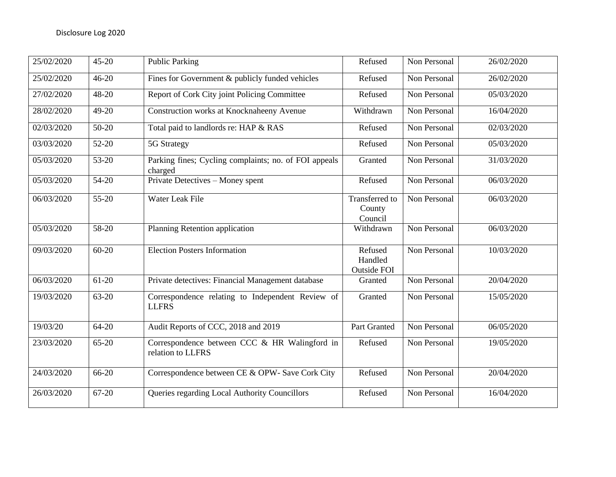| 25/02/2020 | $45 - 20$ | <b>Public Parking</b>                                              | Refused                                    | Non Personal | 26/02/2020 |
|------------|-----------|--------------------------------------------------------------------|--------------------------------------------|--------------|------------|
| 25/02/2020 | $46 - 20$ | Fines for Government & publicly funded vehicles                    | Refused                                    | Non Personal | 26/02/2020 |
| 27/02/2020 | 48-20     | Report of Cork City joint Policing Committee                       | Refused                                    | Non Personal | 05/03/2020 |
| 28/02/2020 | 49-20     | Construction works at Knocknaheeny Avenue                          | Withdrawn                                  | Non Personal | 16/04/2020 |
| 02/03/2020 | $50-20$   | Total paid to landlords re: HAP & RAS                              | Refused                                    | Non Personal | 02/03/2020 |
| 03/03/2020 | $52-20$   | 5G Strategy                                                        | Refused                                    | Non Personal | 05/03/2020 |
| 05/03/2020 | 53-20     | Parking fines; Cycling complaints; no. of FOI appeals<br>charged   | Granted                                    | Non Personal | 31/03/2020 |
| 05/03/2020 | 54-20     | Private Detectives - Money spent                                   | Refused                                    | Non Personal | 06/03/2020 |
| 06/03/2020 | $55 - 20$ | Water Leak File                                                    | <b>Transferred</b> to<br>County<br>Council | Non Personal | 06/03/2020 |
| 05/03/2020 | 58-20     | Planning Retention application                                     | Withdrawn                                  | Non Personal | 06/03/2020 |
| 09/03/2020 | $60 - 20$ | <b>Election Posters Information</b>                                | Refused<br>Handled<br><b>Outside FOI</b>   | Non Personal | 10/03/2020 |
| 06/03/2020 | $61-20$   | Private detectives: Financial Management database                  | Granted                                    | Non Personal | 20/04/2020 |
| 19/03/2020 | $63 - 20$ | Correspondence relating to Independent Review of<br><b>LLFRS</b>   | Granted                                    | Non Personal | 15/05/2020 |
| 19/03/20   | 64-20     | Audit Reports of CCC, 2018 and 2019                                | Part Granted                               | Non Personal | 06/05/2020 |
| 23/03/2020 | $65 - 20$ | Correspondence between CCC & HR Walingford in<br>relation to LLFRS | Refused                                    | Non Personal | 19/05/2020 |
| 24/03/2020 | 66-20     | Correspondence between CE & OPW- Save Cork City                    | Refused                                    | Non Personal | 20/04/2020 |
| 26/03/2020 | 67-20     | Queries regarding Local Authority Councillors                      | Refused                                    | Non Personal | 16/04/2020 |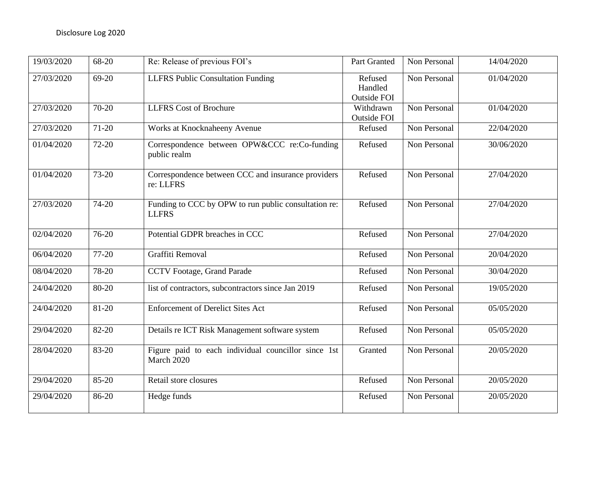| 19/03/2020 | 68-20     | Re: Release of previous FOI's                                        | Part Granted                             | Non Personal | 14/04/2020 |
|------------|-----------|----------------------------------------------------------------------|------------------------------------------|--------------|------------|
| 27/03/2020 | $69-20$   | <b>LLFRS</b> Public Consultation Funding                             | Refused<br>Handled<br><b>Outside FOI</b> | Non Personal | 01/04/2020 |
| 27/03/2020 | 70-20     | <b>LLFRS</b> Cost of Brochure                                        | Withdrawn<br><b>Outside FOI</b>          | Non Personal | 01/04/2020 |
| 27/03/2020 | $71-20$   | Works at Knocknaheeny Avenue                                         | Refused                                  | Non Personal | 22/04/2020 |
| 01/04/2020 | $72 - 20$ | Correspondence between OPW&CCC re:Co-funding<br>public realm         | Refused                                  | Non Personal | 30/06/2020 |
| 01/04/2020 | 73-20     | Correspondence between CCC and insurance providers<br>re: LLFRS      | Refused                                  | Non Personal | 27/04/2020 |
| 27/03/2020 | 74-20     | Funding to CCC by OPW to run public consultation re:<br><b>LLFRS</b> | Refused                                  | Non Personal | 27/04/2020 |
| 02/04/2020 | 76-20     | Potential GDPR breaches in CCC                                       | Refused                                  | Non Personal | 27/04/2020 |
| 06/04/2020 | $77-20$   | Graffiti Removal                                                     | Refused                                  | Non Personal | 20/04/2020 |
| 08/04/2020 | 78-20     | CCTV Footage, Grand Parade                                           | Refused                                  | Non Personal | 30/04/2020 |
| 24/04/2020 | 80-20     | list of contractors, subcontractors since Jan 2019                   | Refused                                  | Non Personal | 19/05/2020 |
| 24/04/2020 | 81-20     | <b>Enforcement of Derelict Sites Act</b>                             | Refused                                  | Non Personal | 05/05/2020 |
| 29/04/2020 | 82-20     | Details re ICT Risk Management software system                       | Refused                                  | Non Personal | 05/05/2020 |
| 28/04/2020 | 83-20     | Figure paid to each individual councillor since 1st<br>March 2020    | Granted                                  | Non Personal | 20/05/2020 |
| 29/04/2020 | 85-20     | Retail store closures                                                | Refused                                  | Non Personal | 20/05/2020 |
| 29/04/2020 | 86-20     | Hedge funds                                                          | Refused                                  | Non Personal | 20/05/2020 |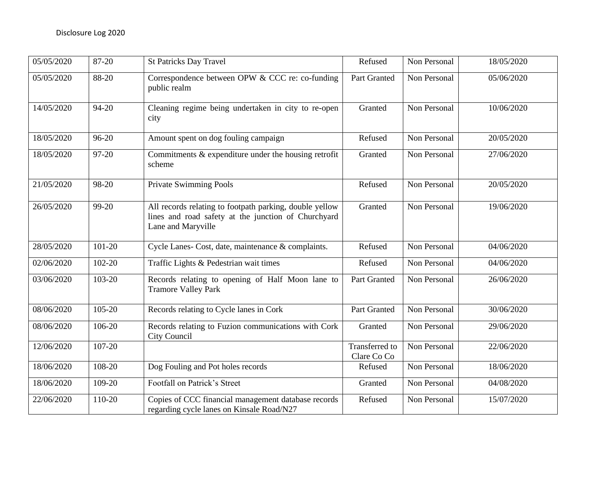| 05/05/2020 | 87-20     | <b>St Patricks Day Travel</b>                                                                                                        | Refused                       | Non Personal | 18/05/2020 |
|------------|-----------|--------------------------------------------------------------------------------------------------------------------------------------|-------------------------------|--------------|------------|
| 05/05/2020 | 88-20     | Correspondence between OPW & CCC re: co-funding<br>public realm                                                                      | Part Granted                  | Non Personal | 05/06/2020 |
| 14/05/2020 | 94-20     | Cleaning regime being undertaken in city to re-open<br>city                                                                          | Granted                       | Non Personal | 10/06/2020 |
| 18/05/2020 | $96 - 20$ | Amount spent on dog fouling campaign                                                                                                 | Refused                       | Non Personal | 20/05/2020 |
| 18/05/2020 | 97-20     | Commitments $&$ expenditure under the housing retrofit<br>scheme                                                                     | Granted                       | Non Personal | 27/06/2020 |
| 21/05/2020 | 98-20     | <b>Private Swimming Pools</b>                                                                                                        | Refused                       | Non Personal | 20/05/2020 |
| 26/05/2020 | 99-20     | All records relating to footpath parking, double yellow<br>lines and road safety at the junction of Churchyard<br>Lane and Maryville | Granted                       | Non Personal | 19/06/2020 |
| 28/05/2020 | 101-20    | Cycle Lanes- Cost, date, maintenance & complaints.                                                                                   | Refused                       | Non Personal | 04/06/2020 |
| 02/06/2020 | 102-20    | Traffic Lights & Pedestrian wait times                                                                                               | Refused                       | Non Personal | 04/06/2020 |
| 03/06/2020 | 103-20    | Records relating to opening of Half Moon lane to<br><b>Tramore Valley Park</b>                                                       | Part Granted                  | Non Personal | 26/06/2020 |
| 08/06/2020 | 105-20    | Records relating to Cycle lanes in Cork                                                                                              | Part Granted                  | Non Personal | 30/06/2020 |
| 08/06/2020 | 106-20    | Records relating to Fuzion communications with Cork<br>City Council                                                                  | Granted                       | Non Personal | 29/06/2020 |
| 12/06/2020 | 107-20    |                                                                                                                                      | Transferred to<br>Clare Co Co | Non Personal | 22/06/2020 |
| 18/06/2020 | 108-20    | Dog Fouling and Pot holes records                                                                                                    | Refused                       | Non Personal | 18/06/2020 |
| 18/06/2020 | 109-20    | Footfall on Patrick's Street                                                                                                         | Granted                       | Non Personal | 04/08/2020 |
| 22/06/2020 | 110-20    | Copies of CCC financial management database records<br>regarding cycle lanes on Kinsale Road/N27                                     | Refused                       | Non Personal | 15/07/2020 |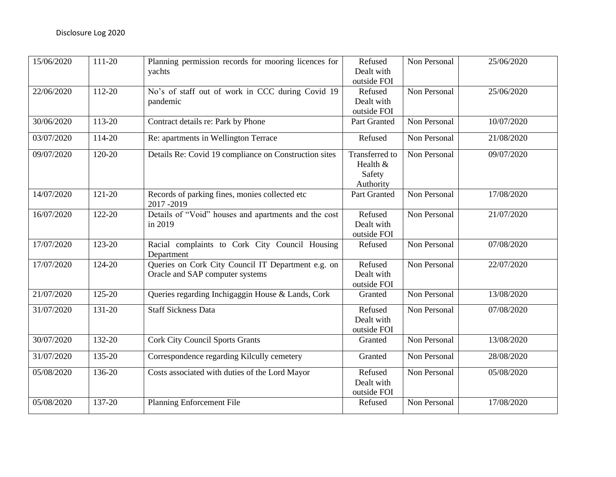| 15/06/2020 | 111-20 | Planning permission records for mooring licences for<br>yachts                        | Refused<br>Dealt with<br>outside FOI                     | Non Personal | 25/06/2020 |
|------------|--------|---------------------------------------------------------------------------------------|----------------------------------------------------------|--------------|------------|
| 22/06/2020 | 112-20 | No's of staff out of work in CCC during Covid 19<br>pandemic                          | Refused<br>Dealt with<br>outside FOI                     | Non Personal | 25/06/2020 |
| 30/06/2020 | 113-20 | Contract details re: Park by Phone                                                    | Part Granted                                             | Non Personal | 10/07/2020 |
| 03/07/2020 | 114-20 | Re: apartments in Wellington Terrace                                                  | Refused                                                  | Non Personal | 21/08/2020 |
| 09/07/2020 | 120-20 | Details Re: Covid 19 compliance on Construction sites                                 | <b>Transferred</b> to<br>Health &<br>Safety<br>Authority | Non Personal | 09/07/2020 |
| 14/07/2020 | 121-20 | Records of parking fines, monies collected etc<br>2017-2019                           | Part Granted                                             | Non Personal | 17/08/2020 |
| 16/07/2020 | 122-20 | Details of "Void" houses and apartments and the cost<br>in 2019                       | Refused<br>Dealt with<br>outside FOI                     | Non Personal | 21/07/2020 |
| 17/07/2020 | 123-20 | Racial complaints to Cork City Council Housing<br>Department                          | Refused                                                  | Non Personal | 07/08/2020 |
| 17/07/2020 | 124-20 | Queries on Cork City Council IT Department e.g. on<br>Oracle and SAP computer systems | Refused<br>Dealt with<br>outside FOI                     | Non Personal | 22/07/2020 |
| 21/07/2020 | 125-20 | Queries regarding Inchigaggin House & Lands, Cork                                     | Granted                                                  | Non Personal | 13/08/2020 |
| 31/07/2020 | 131-20 | <b>Staff Sickness Data</b>                                                            | Refused<br>Dealt with<br>outside FOI                     | Non Personal | 07/08/2020 |
| 30/07/2020 | 132-20 | <b>Cork City Council Sports Grants</b>                                                | Granted                                                  | Non Personal | 13/08/2020 |
| 31/07/2020 | 135-20 | Correspondence regarding Kilcully cemetery                                            | Granted                                                  | Non Personal | 28/08/2020 |
| 05/08/2020 | 136-20 | Costs associated with duties of the Lord Mayor                                        | Refused<br>Dealt with<br>outside FOI                     | Non Personal | 05/08/2020 |
| 05/08/2020 | 137-20 | <b>Planning Enforcement File</b>                                                      | Refused                                                  | Non Personal | 17/08/2020 |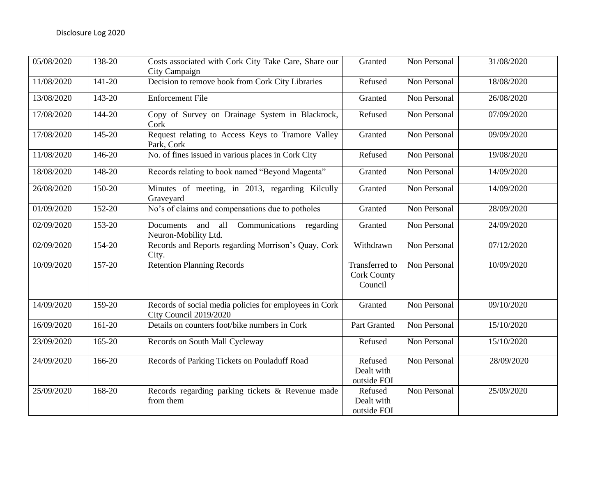| 05/08/2020 | 138-20 | Costs associated with Cork City Take Care, Share our<br>City Campaign            | Granted                                         | Non Personal | 31/08/2020 |
|------------|--------|----------------------------------------------------------------------------------|-------------------------------------------------|--------------|------------|
| 11/08/2020 | 141-20 | Decision to remove book from Cork City Libraries                                 | Refused                                         | Non Personal | 18/08/2020 |
| 13/08/2020 | 143-20 | <b>Enforcement File</b>                                                          | Granted                                         | Non Personal | 26/08/2020 |
| 17/08/2020 | 144-20 | Copy of Survey on Drainage System in Blackrock,<br>Cork                          | Refused                                         | Non Personal | 07/09/2020 |
| 17/08/2020 | 145-20 | Request relating to Access Keys to Tramore Valley<br>Park, Cork                  | Granted                                         | Non Personal | 09/09/2020 |
| 11/08/2020 | 146-20 | No. of fines issued in various places in Cork City                               | Refused                                         | Non Personal | 19/08/2020 |
| 18/08/2020 | 148-20 | Records relating to book named "Beyond Magenta"                                  | Granted                                         | Non Personal | 14/09/2020 |
| 26/08/2020 | 150-20 | Minutes of meeting, in 2013, regarding Kilcully<br>Graveyard                     | Granted                                         | Non Personal | 14/09/2020 |
| 01/09/2020 | 152-20 | No's of claims and compensations due to potholes                                 | Granted                                         | Non Personal | 28/09/2020 |
| 02/09/2020 | 153-20 | Documents<br>and<br>all<br>Communications<br>regarding<br>Neuron-Mobility Ltd.   | Granted                                         | Non Personal | 24/09/2020 |
| 02/09/2020 | 154-20 | Records and Reports regarding Morrison's Quay, Cork<br>City.                     | Withdrawn                                       | Non Personal | 07/12/2020 |
| 10/09/2020 | 157-20 | <b>Retention Planning Records</b>                                                | Transferred to<br><b>Cork County</b><br>Council | Non Personal | 10/09/2020 |
| 14/09/2020 | 159-20 | Records of social media policies for employees in Cork<br>City Council 2019/2020 | Granted                                         | Non Personal | 09/10/2020 |
| 16/09/2020 | 161-20 | Details on counters foot/bike numbers in Cork                                    | Part Granted                                    | Non Personal | 15/10/2020 |
| 23/09/2020 | 165-20 | Records on South Mall Cycleway                                                   | Refused                                         | Non Personal | 15/10/2020 |
| 24/09/2020 | 166-20 | Records of Parking Tickets on Pouladuff Road                                     | Refused<br>Dealt with<br>outside FOI            | Non Personal | 28/09/2020 |
| 25/09/2020 | 168-20 | Records regarding parking tickets & Revenue made<br>from them                    | Refused<br>Dealt with<br>outside FOI            | Non Personal | 25/09/2020 |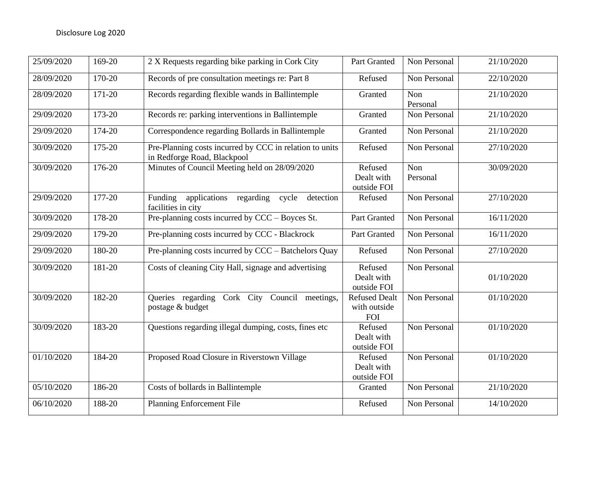| 25/09/2020 | 169-20     | 2 X Requests regarding bike parking in Cork City                                       | Part Granted                                | Non Personal    | 21/10/2020 |
|------------|------------|----------------------------------------------------------------------------------------|---------------------------------------------|-----------------|------------|
| 28/09/2020 | 170-20     | Records of pre consultation meetings re: Part 8                                        | Refused                                     | Non Personal    | 22/10/2020 |
| 28/09/2020 | 171-20     | Records regarding flexible wands in Ballintemple                                       | Granted                                     | Non<br>Personal | 21/10/2020 |
| 29/09/2020 | 173-20     | Records re: parking interventions in Ballintemple                                      | Granted                                     | Non Personal    | 21/10/2020 |
| 29/09/2020 | 174-20     | Correspondence regarding Bollards in Ballintemple                                      | Granted                                     | Non Personal    | 21/10/2020 |
| 30/09/2020 | 175-20     | Pre-Planning costs incurred by CCC in relation to units<br>in Redforge Road, Blackpool | Refused                                     | Non Personal    | 27/10/2020 |
| 30/09/2020 | 176-20     | Minutes of Council Meeting held on 28/09/2020                                          | Refused<br>Dealt with<br>outside FOI        | Non<br>Personal | 30/09/2020 |
| 29/09/2020 | $177 - 20$ | applications regarding cycle<br>Funding<br>detection<br>facilities in city             | Refused                                     | Non Personal    | 27/10/2020 |
| 30/09/2020 | 178-20     | Pre-planning costs incurred by CCC – Boyces St.                                        | Part Granted                                | Non Personal    | 16/11/2020 |
| 29/09/2020 | 179-20     | Pre-planning costs incurred by CCC - Blackrock                                         | Part Granted                                | Non Personal    | 16/11/2020 |
| 29/09/2020 | 180-20     | Pre-planning costs incurred by CCC – Batchelors Quay                                   | Refused                                     | Non Personal    | 27/10/2020 |
| 30/09/2020 | 181-20     | Costs of cleaning City Hall, signage and advertising                                   | Refused<br>Dealt with<br>outside FOI        | Non Personal    | 01/10/2020 |
| 30/09/2020 | 182-20     | Queries regarding Cork City Council meetings,<br>postage & budget                      | Refused Dealt<br>with outside<br><b>FOI</b> | Non Personal    | 01/10/2020 |
| 30/09/2020 | 183-20     | Questions regarding illegal dumping, costs, fines etc                                  | Refused<br>Dealt with<br>outside FOI        | Non Personal    | 01/10/2020 |
| 01/10/2020 | 184-20     | Proposed Road Closure in Riverstown Village                                            | Refused<br>Dealt with<br>outside FOI        | Non Personal    | 01/10/2020 |
| 05/10/2020 | 186-20     | Costs of bollards in Ballintemple                                                      | Granted                                     | Non Personal    | 21/10/2020 |
| 06/10/2020 | 188-20     | <b>Planning Enforcement File</b>                                                       | Refused                                     | Non Personal    | 14/10/2020 |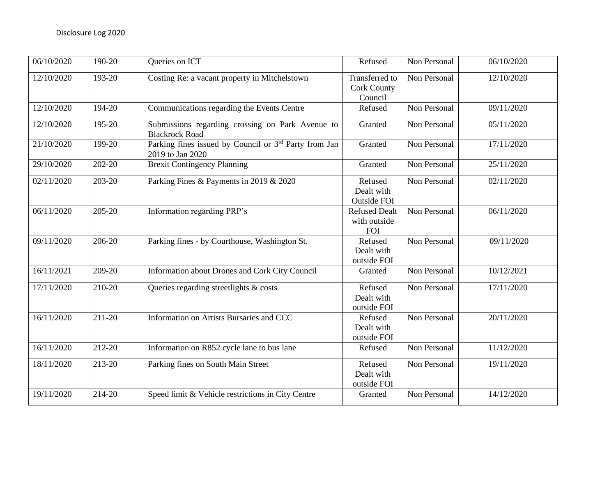| 06/10/2020 | 190-20     | Queries on ICT                                                                        | Refused                                                | Non Personal | 06/10/2020 |
|------------|------------|---------------------------------------------------------------------------------------|--------------------------------------------------------|--------------|------------|
| 12/10/2020 | 193-20     | Costing Re: a vacant property in Mitchelstown                                         | <b>Transferred</b> to<br><b>Cork County</b><br>Council | Non Personal | 12/10/2020 |
| 12/10/2020 | 194-20     | Communications regarding the Events Centre                                            | Refused                                                | Non Personal | 09/11/2020 |
| 12/10/2020 | 195-20     | Submissions regarding crossing on Park Avenue to<br><b>Blackrock Road</b>             | Granted                                                | Non Personal | 05/11/2020 |
| 21/10/2020 | 199-20     | Parking fines issued by Council or 3 <sup>rd</sup> Party from Jan<br>2019 to Jan 2020 | Granted                                                | Non Personal | 17/11/2020 |
| 29/10/2020 | 202-20     | <b>Brexit Contingency Planning</b>                                                    | Granted                                                | Non Personal | 25/11/2020 |
| 02/11/2020 | $203 - 20$ | Parking Fines & Payments in 2019 & 2020                                               | Refused<br>Dealt with<br><b>Outside FOI</b>            | Non Personal | 02/11/2020 |
| 06/11/2020 | 205-20     | Information regarding PRP's                                                           | <b>Refused Dealt</b><br>with outside<br><b>FOI</b>     | Non Personal | 06/11/2020 |
| 09/11/2020 | 206-20     | Parking fines - by Courthouse, Washington St.                                         | Refused<br>Dealt with<br>outside FOI                   | Non Personal | 09/11/2020 |
| 16/11/2021 | 209-20     | Information about Drones and Cork City Council                                        | Granted                                                | Non Personal | 10/12/2021 |
| 17/11/2020 | 210-20     | Queries regarding streetlights & costs                                                | Refused<br>Dealt with<br>outside FOI                   | Non Personal | 17/11/2020 |
| 16/11/2020 | 211-20     | Information on Artists Bursaries and CCC                                              | Refused<br>Dealt with<br>outside FOI                   | Non Personal | 20/11/2020 |
| 16/11/2020 | 212-20     | Information on R852 cycle lane to bus lane                                            | Refused                                                | Non Personal | 11/12/2020 |
| 18/11/2020 | 213-20     | Parking fines on South Main Street                                                    | Refused<br>Dealt with<br>outside FOI                   | Non Personal | 19/11/2020 |
| 19/11/2020 | 214-20     | Speed limit & Vehicle restrictions in City Centre                                     | Granted                                                | Non Personal | 14/12/2020 |